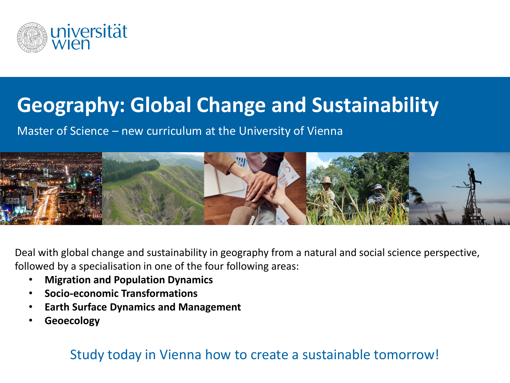

## **Geography: Global Change and Sustainability**

Master of Science – new curriculum at the University of Vienna



Deal with global change and sustainability in geography from a natural and social science perspective, followed by a specialisation in one of the four following areas:

- **Migration and Population Dynamics**
- **Socio-economic Transformations**
- **Earth Surface Dynamics and Management**
- **Geoecology**

## Study today in Vienna how to create a sustainable tomorrow!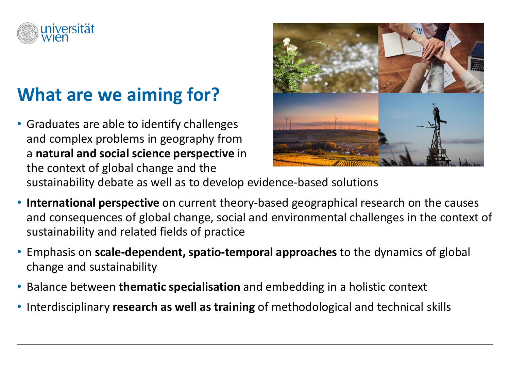

## **What are we aiming for?**

• Graduates are able to identify challenges and complex problems in geography from a **natural and social science perspective** in the context of global change and the sustainability debate as well as to develop evidence-based solutions



• **International perspective** on current theory-based geographical research on the causes and consequences of global change, social and environmental challenges in the context of sustainability and related fields of practice

- Emphasis on **scale-dependent, spatio-temporal approaches** to the dynamics of global change and sustainability
- Balance between **thematic specialisation** and embedding in a holistic context
- Interdisciplinary **research as well as training** of methodological and technical skills